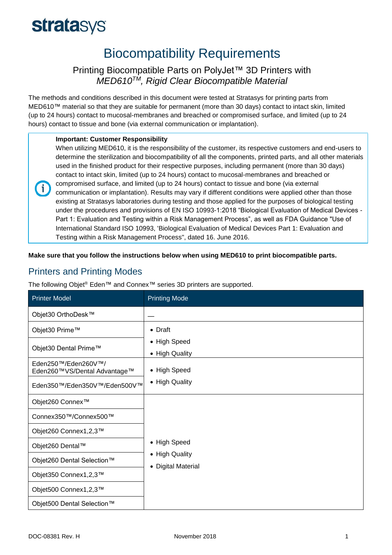# **stratasys**

# Biocompatibility Requirements

### Printing Biocompatible Parts on PolyJet™ 3D Printers with *MED610TM, Rigid Clear Biocompatible Material*

The methods and conditions described in this document were tested at Stratasys for printing parts from MED610™ material so that they are suitable for permanent (more than 30 days) contact to intact skin, limited (up to 24 hours) contact to mucosal-membranes and breached or compromised surface, and limited (up to 24 hours) contact to tissue and bone (via external communication or implantation).

### **Important: Customer Responsibility**

When utilizing MED610, it is the responsibility of the customer, its respective customers and end-users to determine the sterilization and biocompatibility of all the components, printed parts, and all other materials used in the finished product for their respective purposes, including permanent (more than 30 days) contact to intact skin, limited (up to 24 hours) contact to mucosal-membranes and breached or compromised surface, and limited (up to 24 hours) contact to tissue and bone (via external communication or implantation). Results may vary if different conditions were applied other than those existing at Stratasys laboratories during testing and those applied for the purposes of biological testing under the procedures and provisions of EN ISO 10993-1:2018 "Biological Evaluation of Medical Devices - Part 1: Evaluation and Testing within a Risk Management Process", as well as FDA Guidance "Use of International Standard ISO 10993, 'Biological Evaluation of Medical Devices Part 1: Evaluation and Testing within a Risk Management Process", dated 16. June 2016.

**Make sure that you follow the instructions below when using MED610 to print biocompatible parts.**

# Printers and Printing Modes

 $\mathbf{f}$ 

The following Objet® Eden™ and Connex™ series 3D printers are supported.

| <b>Printer Model</b>                                | <b>Printing Mode</b>                                 |
|-----------------------------------------------------|------------------------------------------------------|
| Objet30 OrthoDesk™                                  |                                                      |
| Objet30 Prime™                                      | • Draft                                              |
| Objet30 Dental Prime™                               | • High Speed<br>• High Quality                       |
| Eden250™/Eden260V™/<br>Eden260™VS/Dental Advantage™ | • High Speed                                         |
| Eden350™/Eden350V™/Eden500V™                        | • High Quality                                       |
| Objet260 Connex <sup>™</sup>                        | • High Speed<br>• High Quality<br>• Digital Material |
| Connex350™/Connex500™                               |                                                      |
| Objet260 Connex1,2,3™                               |                                                      |
| Objet260 Dental™                                    |                                                      |
| Objet260 Dental Selection™                          |                                                      |
| Objet350 Connex1,2,3™                               |                                                      |
| Objet500 Connex1,2,3™                               |                                                      |
| Objet500 Dental Selection™                          |                                                      |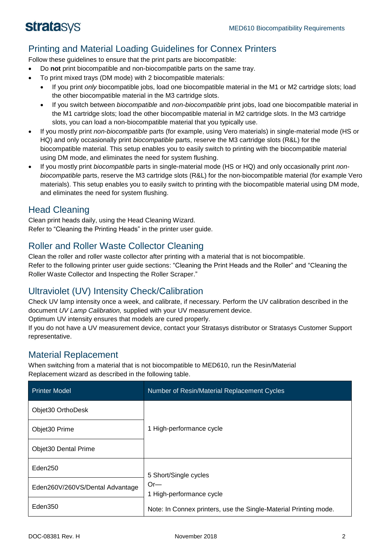# Printing and Material Loading Guidelines for Connex Printers

Follow these guidelines to ensure that the print parts are biocompatible:

- Do **not** print biocompatible and non-biocompatible parts on the same tray.
- To print mixed trays (DM mode) with 2 biocompatible materials:
	- If you print *only* biocompatible jobs, load one biocompatible material in the M1 or M2 cartridge slots; load the other biocompatible material in the M3 cartridge slots.
	- If you switch between *biocompatible* and *non-biocompatible* print jobs, load one biocompatible material in the M1 cartridge slots; load the other biocompatible material in M2 cartridge slots. In the M3 cartridge slots, you can load a non-biocompatible material that you typically use.
- If you mostly print *non-biocompatible* parts (for example, using Vero materials) in single-material mode (HS or HQ) and only occasionally print *biocompatible* parts, reserve the M3 cartridge slots (R&L) for the biocompatible material. This setup enables you to easily switch to printing with the biocompatible material using DM mode, and eliminates the need for system flushing.
- If you mostly print *biocompatible* parts in single-material mode (HS or HQ) and only occasionally print *nonbiocompatible* parts, reserve the M3 cartridge slots (R&L) for the non-biocompatible material (for example Vero materials). This setup enables you to easily switch to printing with the biocompatible material using DM mode, and eliminates the need for system flushing.

### Head Cleaning

Clean print heads daily, using the Head Cleaning Wizard. Refer to "Cleaning the Printing Heads" in the printer user guide.

# Roller and Roller Waste Collector Cleaning

Clean the roller and roller waste collector after printing with a material that is not biocompatible. Refer to the following printer user guide sections: "Cleaning the Print Heads and the Roller" and "Cleaning the Roller Waste Collector and Inspecting the Roller Scraper."

# Ultraviolet (UV) Intensity Check/Calibration

Check UV lamp intensity once a week, and calibrate, if necessary. Perform the UV calibration described in the document *UV Lamp Calibration,* supplied with your UV measurement device.

Optimum UV intensity ensures that models are cured properly.

If you do not have a UV measurement device, contact your Stratasys distributor or Stratasys Customer Support representative.

### Material Replacement

When switching from a material that is not biocompatible to MED610, run the Resin/Material Replacement wizard as described in the following table.

| <b>Printer Model</b>            | Number of Resin/Material Replacement Cycles                                                                                    |
|---------------------------------|--------------------------------------------------------------------------------------------------------------------------------|
| Objet30 OrthoDesk               |                                                                                                                                |
| Objet30 Prime                   | 1 High-performance cycle                                                                                                       |
| <b>Objet30 Dental Prime</b>     |                                                                                                                                |
| Eden250                         | 5 Short/Single cycles<br>$Or-$<br>1 High-performance cycle<br>Note: In Connex printers, use the Single-Material Printing mode. |
| Eden260V/260VS/Dental Advantage |                                                                                                                                |
| Eden350                         |                                                                                                                                |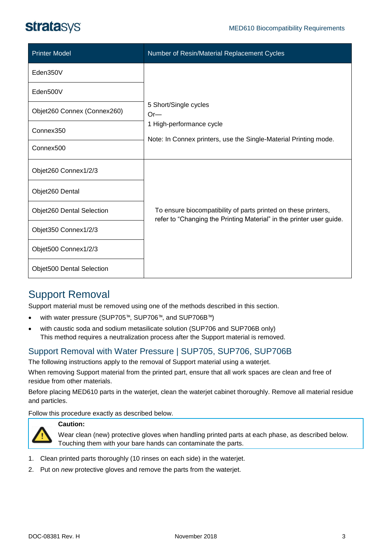| <b>Printer Model</b>             | Number of Resin/Material Replacement Cycles                                                                                            |
|----------------------------------|----------------------------------------------------------------------------------------------------------------------------------------|
| Eden350V                         | 5 Short/Single cycles<br>$Or-$<br>1 High-performance cycle<br>Note: In Connex printers, use the Single-Material Printing mode.         |
| Eden500V                         |                                                                                                                                        |
| Objet260 Connex (Connex260)      |                                                                                                                                        |
| Connex350                        |                                                                                                                                        |
| Connex <sub>500</sub>            |                                                                                                                                        |
| Objet260 Connex1/2/3             | To ensure biocompatibility of parts printed on these printers,<br>refer to "Changing the Printing Material" in the printer user guide. |
| Objet260 Dental                  |                                                                                                                                        |
| Objet260 Dental Selection        |                                                                                                                                        |
| Objet350 Connex1/2/3             |                                                                                                                                        |
| Objet500 Connex1/2/3             |                                                                                                                                        |
| <b>Objet500 Dental Selection</b> |                                                                                                                                        |

# Support Removal

Support material must be removed using one of the methods described in this section.

- with water pressure (SUP705™, SUP706™, and SUP706B™)
- with caustic soda and sodium metasilicate solution (SUP706 and SUP706B only) This method requires a neutralization process after the Support material is removed.

# Support Removal with Water Pressure | SUP705, SUP706, SUP706B

The following instructions apply to the removal of Support material using a waterjet.

When removing Support material from the printed part, ensure that all work spaces are clean and free of residue from other materials.

Before placing MED610 parts in the waterjet, clean the waterjet cabinet thoroughly. Remove all material residue and particles.

Follow this procedure exactly as described below.



### **Caution:**

Wear clean (new) protective gloves when handling printed parts at each phase, as described below. Touching them with your bare hands can contaminate the parts.

- 1. Clean printed parts thoroughly (10 rinses on each side) in the waterjet.
- 2. Put on *new* protective gloves and remove the parts from the waterjet.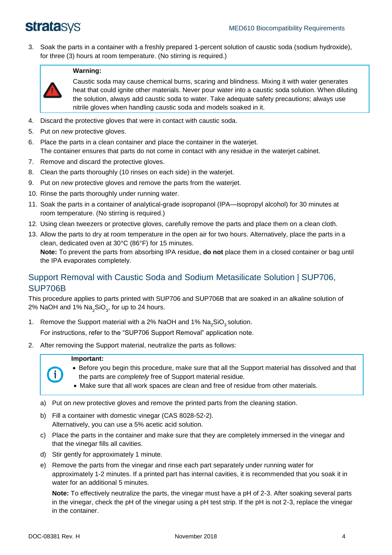3. Soak the parts in a container with a freshly prepared 1-percent solution of caustic soda (sodium hydroxide), for three (3) hours at room temperature. (No stirring is required.)



### **Warning:**

Caustic soda may cause chemical burns, scaring and blindness. Mixing it with water generates heat that could ignite other materials. Never pour water into a caustic soda solution. When diluting the solution, always add caustic soda to water. Take adequate safety precautions; always use nitrile gloves when handling caustic soda and models soaked in it.

- 4. Discard the protective gloves that were in contact with caustic soda.
- 5. Put on *new* protective gloves.
- 6. Place the parts in a clean container and place the container in the waterjet. The container ensures that parts do not come in contact with any residue in the waterjet cabinet.
- 7. Remove and discard the protective gloves.
- 8. Clean the parts thoroughly (10 rinses on each side) in the waterjet.
- 9. Put on *new* protective gloves and remove the parts from the waterjet.
- 10. Rinse the parts thoroughly under running water.
- 11. Soak the parts in a container of analytical-grade isopropanol (IPA—isopropyl alcohol) for 30 minutes at room temperature. (No stirring is required.)
- 12. Using clean tweezers or protective gloves, carefully remove the parts and place them on a clean cloth.
- 13. Allow the parts to dry at room temperature in the open air for two hours. Alternatively, place the parts in a clean, dedicated oven at 30°C (86°F) for 15 minutes.

**Note:** To prevent the parts from absorbing IPA residue, **do not** place them in a closed container or bag until the IPA evaporates completely.

### Support Removal with Caustic Soda and Sodium Metasilicate Solution | SUP706, SUP706B

This procedure applies to parts printed with SUP706 and SUP706B that are soaked in an alkaline solution of 2% NaOH and 1% Na $_{\rm 2}$ SiO $_{\rm 3}$ , for up to 24 hours.

1. Remove the Support material with a 2% NaOH and 1%  $\textsf{Na}_2\textsf{SiO}_3$  solution.

For instructions, refer to the "SUP706 Support Removal" application note.

2. After removing the Support material, neutralize the parts as follows:

### **Important:**

- Before you begin this procedure, make sure that all the Support material has dissolved and that the parts are *completely* free of Support material residue.
- Make sure that all work spaces are clean and free of residue from other materials.
- a) Put on *new* protective gloves and remove the printed parts from the cleaning station.
- b) Fill a container with domestic vinegar (CAS 8028-52-2). Alternatively, you can use a 5% acetic acid solution.
- c) Place the parts in the container and make sure that they are completely immersed in the vinegar and that the vinegar fills all cavities.
- d) Stir gently for approximately 1 minute.
- e) Remove the parts from the vinegar and rinse each part separately under running water for approximately 1-2 minutes. If a printed part has internal cavities, it is recommended that you soak it in water for an additional 5 minutes.

**Note:** To effectively neutralize the parts, the vinegar must have a pH of 2-3. After soaking several parts in the vinegar, check the pH of the vinegar using a pH test strip. If the pH is not 2-3, replace the vinegar in the container.

Ť.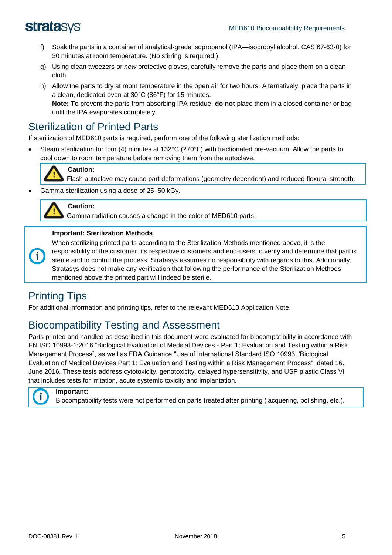- f) Soak the parts in a container of analytical-grade isopropanol (IPA—isopropyl alcohol, CAS 67-63-0) for 30 minutes at room temperature. (No stirring is required.)
- g) Using clean tweezers or *new* protective gloves, carefully remove the parts and place them on a clean cloth.
- h) Allow the parts to dry at room temperature in the open air for two hours. Alternatively, place the parts in a clean, dedicated oven at 30°C (86°F) for 15 minutes. **Note:** To prevent the parts from absorbing IPA residue, **do not** place them in a closed container or bag until the IPA evaporates completely.

# Sterilization of Printed Parts

If sterilization of MED610 parts is required, perform one of the following sterilization methods:

• Steam sterilization for four (4) minutes at 132°C (270°F) with fractionated pre-vacuum. Allow the parts to cool down to room temperature before removing them from the autoclave.



Flash autoclave may cause part deformations (geometry dependent) and reduced flexural strength.

• Gamma sterilization using a dose of 25–50 kGy.



6

### **Caution:**

**Caution:**

Gamma radiation causes a change in the color of MED610 parts.

### **Important: Sterilization Methods**

When sterilizing printed parts according to the Sterilization Methods mentioned above, it is the responsibility of the customer, its respective customers and end-users to verify and determine that part is sterile and to control the process. Stratasys assumes no responsibility with regards to this. Additionally, Stratasys does not make any verification that following the performance of the Sterilization Methods mentioned above the printed part will indeed be sterile.

# Printing Tips

For additional information and printing tips, refer to the relevant MED610 Application Note.

# Biocompatibility Testing and Assessment

Parts printed and handled as described in this document were evaluated for biocompatibility in accordance with EN ISO 10993-1:2018 "Biological Evaluation of Medical Devices - Part 1: Evaluation and Testing within a Risk Management Process", as well as FDA Guidance "Use of International Standard ISO 10993, 'Biological Evaluation of Medical Devices Part 1: Evaluation and Testing within a Risk Management Process", dated 16. June 2016. These tests address cytotoxicity, genotoxicity, delayed hypersensitivity, and USP plastic Class VI that includes tests for irritation, acute systemic toxicity and implantation.



**Important:**

Biocompatibility tests were not performed on parts treated after printing (lacquering, polishing, etc.).